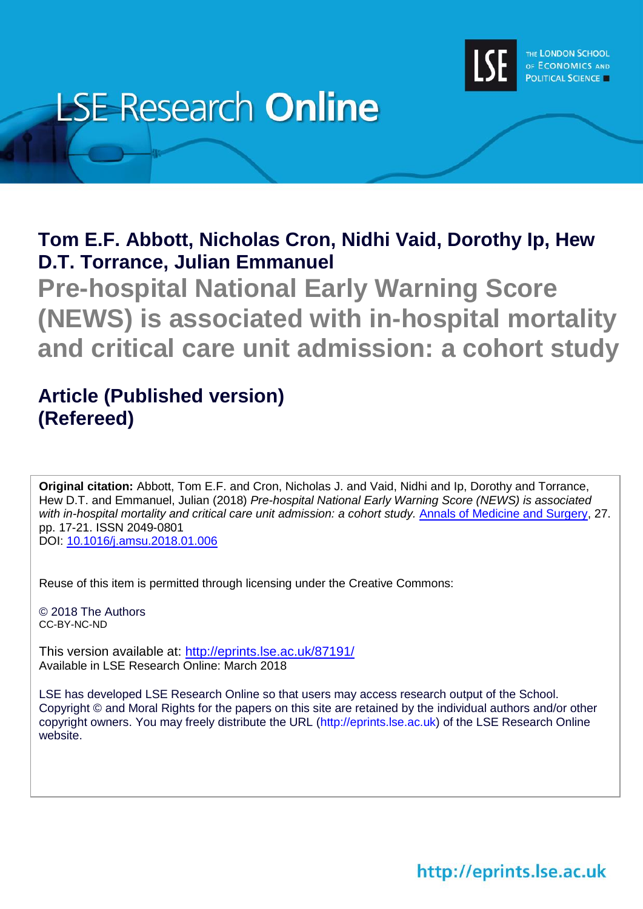

# **LSE Research Online**

**Tom E.F. Abbott, Nicholas Cron, Nidhi Vaid, Dorothy Ip, Hew D.T. Torrance, Julian Emmanuel**

**Pre-hospital National Early Warning Score (NEWS) is associated with in-hospital mortality and critical care unit admission: a cohort study**

# **Article (Published version) (Refereed)**

**Original citation:** Abbott, Tom E.F. and Cron, Nicholas J. and Vaid, Nidhi and Ip, Dorothy and Torrance, Hew D.T. and Emmanuel, Julian (2018) *Pre-hospital National Early Warning Score (NEWS) is associated with in-hospital mortality and critical care unit admission: a cohort study.* [Annals of Medicine and Surgery,](https://www.sciencedirect.com/journal/annals-of-medicine-and-surgery) 27. pp. 17-21. ISSN 2049-0801 DOI: [10.1016/j.amsu.2018.01.006](http://dx.doi.org/10.1016/j.amsu.2018.01.006)

Reuse of this item is permitted through licensing under the Creative Commons:

© 2018 The Authors CC-BY-NC-ND

This version available at: <http://eprints.lse.ac.uk/87191/> Available in LSE Research Online: March 2018

LSE has developed LSE Research Online so that users may access research output of the School. Copyright © and Moral Rights for the papers on this site are retained by the individual authors and/or other copyright owners. You may freely distribute the URL (http://eprints.lse.ac.uk) of the LSE Research Online website.

http://eprints.lse.ac.uk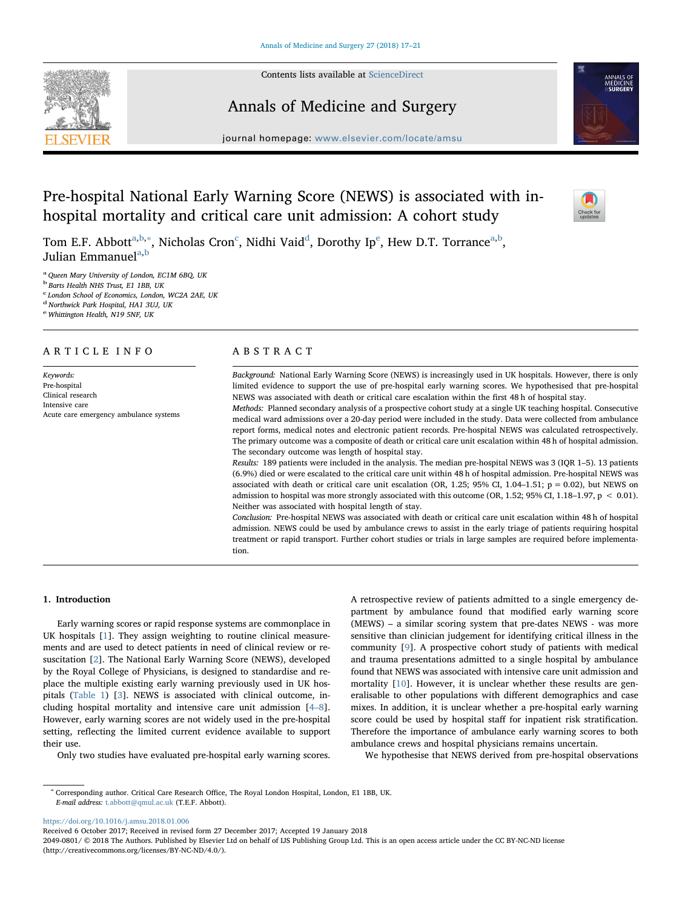Contents lists available at [ScienceDirect](http://www.sciencedirect.com/science/journal/20490801)

Annals of Medicine and Surgery



journal homepage: [www.elsevier.com/locate/amsu](https://www.elsevier.com/locate/amsu)

# Pre-hospital National Early Warning Score (NEWS) is associated with inhospital mortality and critical care unit admission: A cohort study



Tom E.F. A[b](#page-1-1)bott $\rm^{a,b,*}$  $\rm^{a,b,*}$  $\rm^{a,b,*}$  $\rm^{a,b,*}$ , Ni[c](#page-1-3)holas Cron $\rm^c$ , Ni[d](#page-1-4)hi Vaid $\rm^d$ , Dorothy Ip $\rm^e$ , Hew D.T. Torrance $\rm^{a,b},$ Julian Emmanuel<sup>[a,](#page-1-0)[b](#page-1-1)</sup>

<span id="page-1-0"></span><sup>a</sup> Queen Mary University of London, EC1M 6BQ, UK

<span id="page-1-1"></span><sup>b</sup> Barts Health NHS Trust, E1 1BB, UK

<span id="page-1-3"></span><sup>c</sup> London School of Economics, London, WC2A 2AE, UK

<span id="page-1-4"></span><sup>d</sup> Northwick Park Hospital, HA1 3UJ, UK

<span id="page-1-5"></span><sup>e</sup> Whittington Health, N19 5NF, UK

# ARTICLE INFO

Keywords: Pre-hospital Clinical research Intensive care Acute care emergency ambulance systems

# ABSTRACT

Background: National Early Warning Score (NEWS) is increasingly used in UK hospitals. However, there is only limited evidence to support the use of pre-hospital early warning scores. We hypothesised that pre-hospital NEWS was associated with death or critical care escalation within the first 48 h of hospital stay.

Methods: Planned secondary analysis of a prospective cohort study at a single UK teaching hospital. Consecutive medical ward admissions over a 20-day period were included in the study. Data were collected from ambulance report forms, medical notes and electronic patient records. Pre-hospital NEWS was calculated retrospectively. The primary outcome was a composite of death or critical care unit escalation within 48 h of hospital admission. The secondary outcome was length of hospital stay.

Results: 189 patients were included in the analysis. The median pre-hospital NEWS was 3 (IQR 1–5). 13 patients (6.9%) died or were escalated to the critical care unit within 48 h of hospital admission. Pre-hospital NEWS was associated with death or critical care unit escalation (OR, 1.25; 95% CI, 1.04-1.51;  $p = 0.02$ ), but NEWS on admission to hospital was more strongly associated with this outcome (OR, 1.52; 95% CI, 1.18–1.97,  $p < 0.01$ ). Neither was associated with hospital length of stay.

Conclusion: Pre-hospital NEWS was associated with death or critical care unit escalation within 48 h of hospital admission. NEWS could be used by ambulance crews to assist in the early triage of patients requiring hospital treatment or rapid transport. Further cohort studies or trials in large samples are required before implementation.

# 1. Introduction

Early warning scores or rapid response systems are commonplace in UK hospitals [[1](#page-4-0)]. They assign weighting to routine clinical measurements and are used to detect patients in need of clinical review or resuscitation [[2](#page-4-1)]. The National Early Warning Score (NEWS), developed by the Royal College of Physicians, is designed to standardise and replace the multiple existing early warning previously used in UK hospitals ([Table 1](#page-2-0)) [[3](#page-4-2)]. NEWS is associated with clinical outcome, including hospital mortality and intensive care unit admission [\[4](#page-4-3)–8]. However, early warning scores are not widely used in the pre-hospital setting, reflecting the limited current evidence available to support their use.

Only two studies have evaluated pre-hospital early warning scores.

A retrospective review of patients admitted to a single emergency department by ambulance found that modified early warning score (MEWS) – a similar scoring system that pre-dates NEWS - was more sensitive than clinician judgement for identifying critical illness in the community [\[9\]](#page-4-4). A prospective cohort study of patients with medical and trauma presentations admitted to a single hospital by ambulance found that NEWS was associated with intensive care unit admission and mortality [[10\]](#page-4-5). However, it is unclear whether these results are generalisable to other populations with different demographics and case mixes. In addition, it is unclear whether a pre-hospital early warning score could be used by hospital staff for inpatient risk stratification. Therefore the importance of ambulance early warning scores to both ambulance crews and hospital physicians remains uncertain.

We hypothesise that NEWS derived from pre-hospital observations

<https://doi.org/10.1016/j.amsu.2018.01.006>

Received 6 October 2017; Received in revised form 27 December 2017; Accepted 19 January 2018

2049-0801/ © 2018 The Authors. Published by Elsevier Ltd on behalf of IJS Publishing Group Ltd. This is an open access article under the CC BY-NC-ND license (http://creativecommons.org/licenses/BY-NC-ND/4.0/).

<span id="page-1-2"></span><sup>∗</sup> Corresponding author. Critical Care Research Office, The Royal London Hospital, London, E1 1BB, UK. E-mail address: [t.abbott@qmul.ac.uk](mailto:t.abbott@qmul.ac.uk) (T.E.F. Abbott).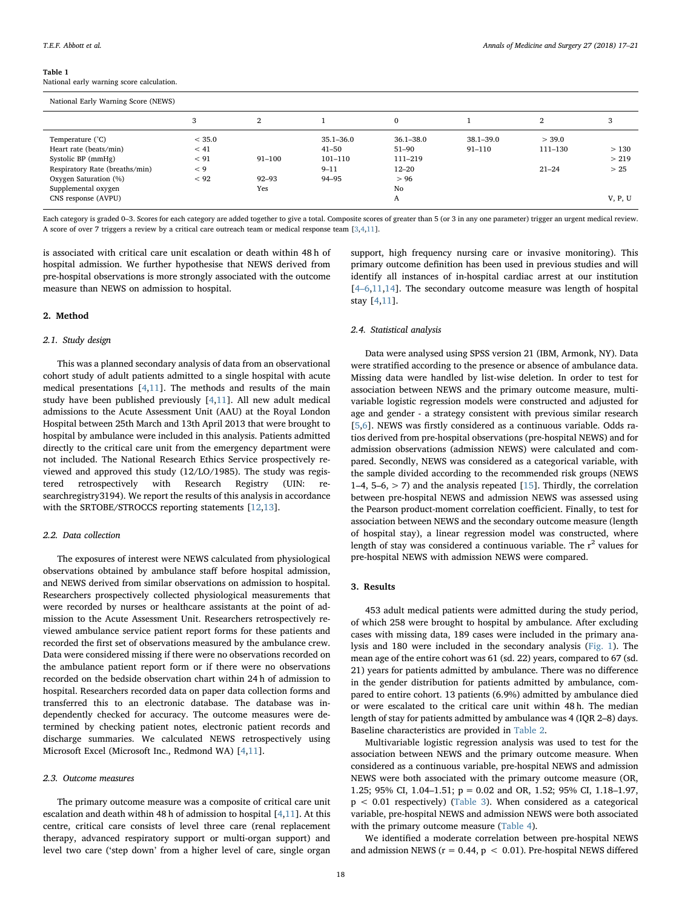<span id="page-2-0"></span>Table 1 National early warning score calculation.

| National Early Warning Score (NEWS)                              |                        |            |                                           |                                       |                             |                   |               |  |
|------------------------------------------------------------------|------------------------|------------|-------------------------------------------|---------------------------------------|-----------------------------|-------------------|---------------|--|
|                                                                  | 3                      | 2          |                                           | $\mathbf{0}$                          |                             | 2                 | 3             |  |
| Temperature (°C)<br>Heart rate (beats/min)<br>Systolic BP (mmHg) | < 35.0<br>< 41<br>< 91 | $91 - 100$ | $35.1 - 36.0$<br>$41 - 50$<br>$101 - 110$ | $36.1 - 38.0$<br>$51 - 90$<br>111-219 | $38.1 - 39.0$<br>$91 - 110$ | > 39.0<br>111-130 | >130<br>> 219 |  |
| Respiratory Rate (breaths/min)<br>Oxygen Saturation (%)          | < 9<br>< 92            | $92 - 93$  | $9 - 11$<br>94-95                         | $12 - 20$<br>> 96                     |                             | $21 - 24$         | > 25          |  |
| Supplemental oxygen<br>CNS response (AVPU)                       |                        | Yes        |                                           | No<br>A                               |                             |                   | V, P, U       |  |

Each category is graded 0-3. Scores for each category are added together to give a total. Composite scores of greater than 5 (or 3 in any one parameter) trigger an urgent medical review. A score of over 7 triggers a review by a critical care outreach team or medical response team [[3](#page-4-2)[,4](#page-4-3)[,11\]](#page-4-6).

is associated with critical care unit escalation or death within 48 h of hospital admission. We further hypothesise that NEWS derived from pre-hospital observations is more strongly associated with the outcome measure than NEWS on admission to hospital.

# 2. Method

# 2.1. Study design

This was a planned secondary analysis of data from an observational cohort study of adult patients admitted to a single hospital with acute medical presentations [[4](#page-4-3),[11\]](#page-4-6). The methods and results of the main study have been published previously [\[4](#page-4-3)[,11](#page-4-6)]. All new adult medical admissions to the Acute Assessment Unit (AAU) at the Royal London Hospital between 25th March and 13th April 2013 that were brought to hospital by ambulance were included in this analysis. Patients admitted directly to the critical care unit from the emergency department were not included. The National Research Ethics Service prospectively reviewed and approved this study (12/LO/1985). The study was registered retrospectively with Research Registry (UIN: searchregistry3194). We report the results of this analysis in accordance with the SRTOBE/STROCCS reporting statements [\[12](#page-4-7)[,13](#page-4-8)].

# 2.2. Data collection

The exposures of interest were NEWS calculated from physiological observations obtained by ambulance staff before hospital admission, and NEWS derived from similar observations on admission to hospital. Researchers prospectively collected physiological measurements that were recorded by nurses or healthcare assistants at the point of admission to the Acute Assessment Unit. Researchers retrospectively reviewed ambulance service patient report forms for these patients and recorded the first set of observations measured by the ambulance crew. Data were considered missing if there were no observations recorded on the ambulance patient report form or if there were no observations recorded on the bedside observation chart within 24 h of admission to hospital. Researchers recorded data on paper data collection forms and transferred this to an electronic database. The database was independently checked for accuracy. The outcome measures were determined by checking patient notes, electronic patient records and discharge summaries. We calculated NEWS retrospectively using Microsoft Excel (Microsoft Inc., Redmond WA) [\[4,](#page-4-3)[11\]](#page-4-6).

# 2.3. Outcome measures

The primary outcome measure was a composite of critical care unit escalation and death within 48 h of admission to hospital [\[4](#page-4-3)[,11](#page-4-6)]. At this centre, critical care consists of level three care (renal replacement therapy, advanced respiratory support or multi-organ support) and level two care ('step down' from a higher level of care, single organ

support, high frequency nursing care or invasive monitoring). This primary outcome definition has been used in previous studies and will identify all instances of in-hospital cardiac arrest at our institution [4–[6](#page-4-3)[,11](#page-4-6)[,14](#page-4-9)]. The secondary outcome measure was length of hospital stay [[4](#page-4-3),[11](#page-4-6)].

# 2.4. Statistical analysis

Data were analysed using SPSS version 21 (IBM, Armonk, NY). Data were stratified according to the presence or absence of ambulance data. Missing data were handled by list-wise deletion. In order to test for association between NEWS and the primary outcome measure, multivariable logistic regression models were constructed and adjusted for age and gender - a strategy consistent with previous similar research [[5](#page-4-10),[6](#page-4-11)]. NEWS was firstly considered as a continuous variable. Odds ratios derived from pre-hospital observations (pre-hospital NEWS) and for admission observations (admission NEWS) were calculated and compared. Secondly, NEWS was considered as a categorical variable, with the sample divided according to the recommended risk groups (NEWS 1–4, 5–6,  $>$  7) and the analysis repeated [\[15](#page-4-12)]. Thirdly, the correlation between pre-hospital NEWS and admission NEWS was assessed using the Pearson product-moment correlation coefficient. Finally, to test for association between NEWS and the secondary outcome measure (length of hospital stay), a linear regression model was constructed, where length of stay was considered a continuous variable. The  $r^2$  values for pre-hospital NEWS with admission NEWS were compared.

# 3. Results

453 adult medical patients were admitted during the study period, of which 258 were brought to hospital by ambulance. After excluding cases with missing data, 189 cases were included in the primary analysis and 180 were included in the secondary analysis [\(Fig. 1](#page-3-0)). The mean age of the entire cohort was 61 (sd. 22) years, compared to 67 (sd. 21) years for patients admitted by ambulance. There was no difference in the gender distribution for patients admitted by ambulance, compared to entire cohort. 13 patients (6.9%) admitted by ambulance died or were escalated to the critical care unit within 48 h. The median length of stay for patients admitted by ambulance was 4 (IQR 2–8) days. Baseline characteristics are provided in [Table 2.](#page-3-1)

Multivariable logistic regression analysis was used to test for the association between NEWS and the primary outcome measure. When considered as a continuous variable, pre-hospital NEWS and admission NEWS were both associated with the primary outcome measure (OR, 1.25; 95% CI, 1.04–1.51; p = 0.02 and OR, 1.52; 95% CI, 1.18–1.97,  $p < 0.01$  respectively) ([Table 3\)](#page-3-2). When considered as a categorical variable, pre-hospital NEWS and admission NEWS were both associated with the primary outcome measure ([Table 4\)](#page-3-3).

We identified a moderate correlation between pre-hospital NEWS and admission NEWS ( $r = 0.44$ ,  $p < 0.01$ ). Pre-hospital NEWS differed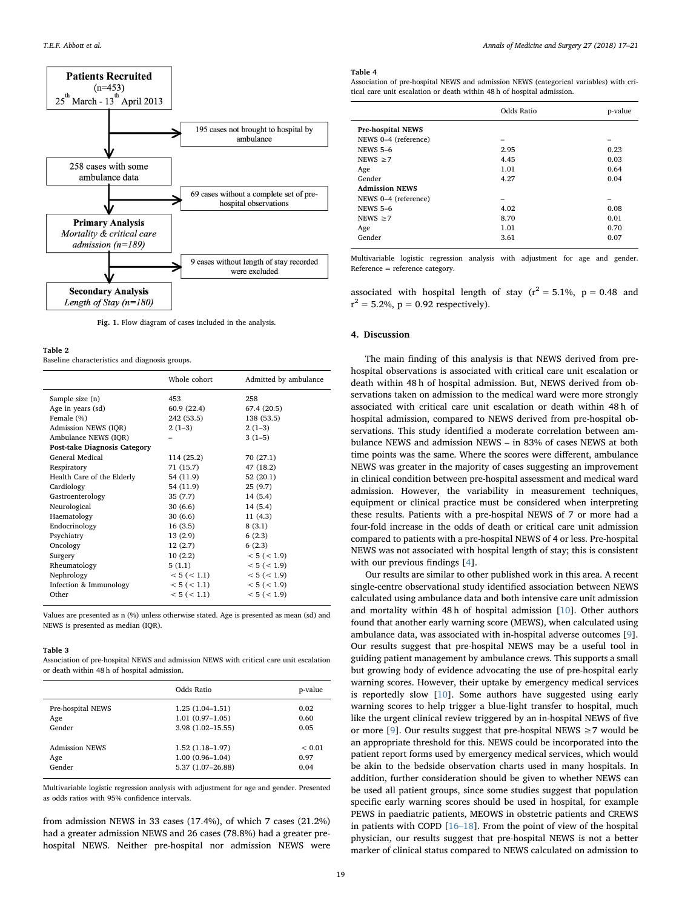<span id="page-3-0"></span>

Fig. 1. Flow diagram of cases included in the analysis.

<span id="page-3-1"></span>Table 2

Baseline characteristics and diagnosis groups.

|                              | Whole cohort | Admitted by ambulance |
|------------------------------|--------------|-----------------------|
| Sample size (n)              | 453          | 258                   |
| Age in years (sd)            | 60.9 (22.4)  | 67.4 (20.5)           |
| Female (%)                   | 242 (53.5)   | 138 (53.5)            |
| Admission NEWS (IOR)         | $2(1-3)$     | $2(1-3)$              |
| Ambulance NEWS (IOR)         |              | $3(1-5)$              |
| Post-take Diagnosis Category |              |                       |
| General Medical              | 114 (25.2)   | 70 (27.1)             |
| Respiratory                  | 71 (15.7)    | 47 (18.2)             |
| Health Care of the Elderly   | 54 (11.9)    | 52 (20.1)             |
| Cardiology                   | 54 (11.9)    | 25(9.7)               |
| Gastroenterology             | 35(7.7)      | 14(5.4)               |
| Neurological                 | 30(6.6)      | 14(5.4)               |
| Haematology                  | 30(6.6)      | 11 (4.3)              |
| Endocrinology                | 16(3.5)      | 8(3.1)                |
| Psychiatry                   | 13(2.9)      | 6(2.3)                |
| Oncology                     | 12(2.7)      | 6(2.3)                |
| Surgery                      | 10(2.2)      | < 5 (< 1.9)           |
| Rheumatology                 | 5(1.1)       | < 5 (< 1.9)           |
| Nephrology                   | < 5 (< 1.1)  | < 5 (< 1.9)           |
| Infection & Immunology       | < 5 (< 1.1)  | < 5 (< 1.9)           |
| Other                        | < 5 (< 1.1)  | < 5 (< 1.9)           |
|                              |              |                       |

Values are presented as n (%) unless otherwise stated. Age is presented as mean (sd) and NEWS is presented as median (IQR).

### <span id="page-3-2"></span>Table 3

Association of pre-hospital NEWS and admission NEWS with critical care unit escalation or death within 48 h of hospital admission.

|                       | Odds Ratio           | p-value     |
|-----------------------|----------------------|-------------|
| Pre-hospital NEWS     | $1.25(1.04-1.51)$    | 0.02        |
| Age                   | $1.01(0.97-1.05)$    | 0.60        |
| Gender                | $3.98(1.02 - 15.55)$ | 0.05        |
| <b>Admission NEWS</b> | $1.52(1.18-1.97)$    | ${}_{0.01}$ |
| Age                   | $1.00(0.96 - 1.04)$  | 0.97        |
| Gender                | 5.37 (1.07-26.88)    | 0.04        |

Multivariable logistic regression analysis with adjustment for age and gender. Presented as odds ratios with 95% confidence intervals.

from admission NEWS in 33 cases (17.4%), of which 7 cases (21.2%) had a greater admission NEWS and 26 cases (78.8%) had a greater prehospital NEWS. Neither pre-hospital nor admission NEWS were

## <span id="page-3-3"></span>Table 4

Association of pre-hospital NEWS and admission NEWS (categorical variables) with critical care unit escalation or death within 48 h of hospital admission.

|                       | Odds Ratio | p-value |
|-----------------------|------------|---------|
| Pre-hospital NEWS     |            |         |
| NEWS 0-4 (reference)  | -          |         |
| <b>NEWS 5-6</b>       | 2.95       | 0.23    |
| NEWS $\geq 7$         | 4.45       | 0.03    |
| Age                   | 1.01       | 0.64    |
| Gender                | 4.27       | 0.04    |
| <b>Admission NEWS</b> |            |         |
| NEWS 0-4 (reference)  | -          | -       |
| <b>NEWS 5-6</b>       | 4.02       | 0.08    |
| NEWS $\geq$ 7         | 8.70       | 0.01    |
| Age                   | 1.01       | 0.70    |
| Gender                | 3.61       | 0.07    |

Multivariable logistic regression analysis with adjustment for age and gender. Reference = reference category.

associated with hospital length of stay  $(r^2 = 5.1\%$ , p = 0.48 and  $r^2 = 5.2\%, p = 0.92$  respectively).

## 4. Discussion

The main finding of this analysis is that NEWS derived from prehospital observations is associated with critical care unit escalation or death within 48 h of hospital admission. But, NEWS derived from observations taken on admission to the medical ward were more strongly associated with critical care unit escalation or death within 48 h of hospital admission, compared to NEWS derived from pre-hospital observations. This study identified a moderate correlation between ambulance NEWS and admission NEWS – in 83% of cases NEWS at both time points was the same. Where the scores were different, ambulance NEWS was greater in the majority of cases suggesting an improvement in clinical condition between pre-hospital assessment and medical ward admission. However, the variability in measurement techniques, equipment or clinical practice must be considered when interpreting these results. Patients with a pre-hospital NEWS of 7 or more had a four-fold increase in the odds of death or critical care unit admission compared to patients with a pre-hospital NEWS of 4 or less. Pre-hospital NEWS was not associated with hospital length of stay; this is consistent with our previous findings [[4](#page-4-3)].

Our results are similar to other published work in this area. A recent single-centre observational study identified association between NEWS calculated using ambulance data and both intensive care unit admission and mortality within 48 h of hospital admission [\[10](#page-4-5)]. Other authors found that another early warning score (MEWS), when calculated using ambulance data, was associated with in-hospital adverse outcomes [[9](#page-4-4)]. Our results suggest that pre-hospital NEWS may be a useful tool in guiding patient management by ambulance crews. This supports a small but growing body of evidence advocating the use of pre-hospital early warning scores. However, their uptake by emergency medical services is reportedly slow [\[10](#page-4-5)]. Some authors have suggested using early warning scores to help trigger a blue-light transfer to hospital, much like the urgent clinical review triggered by an in-hospital NEWS of five or more [[9](#page-4-4)]. Our results suggest that pre-hospital NEWS  $\geq$  7 would be an appropriate threshold for this. NEWS could be incorporated into the patient report forms used by emergency medical services, which would be akin to the bedside observation charts used in many hospitals. In addition, further consideration should be given to whether NEWS can be used all patient groups, since some studies suggest that population specific early warning scores should be used in hospital, for example PEWS in paediatric patients, MEOWS in obstetric patients and CREWS in patients with COPD [16–[18\]](#page-4-13). From the point of view of the hospital physician, our results suggest that pre-hospital NEWS is not a better marker of clinical status compared to NEWS calculated on admission to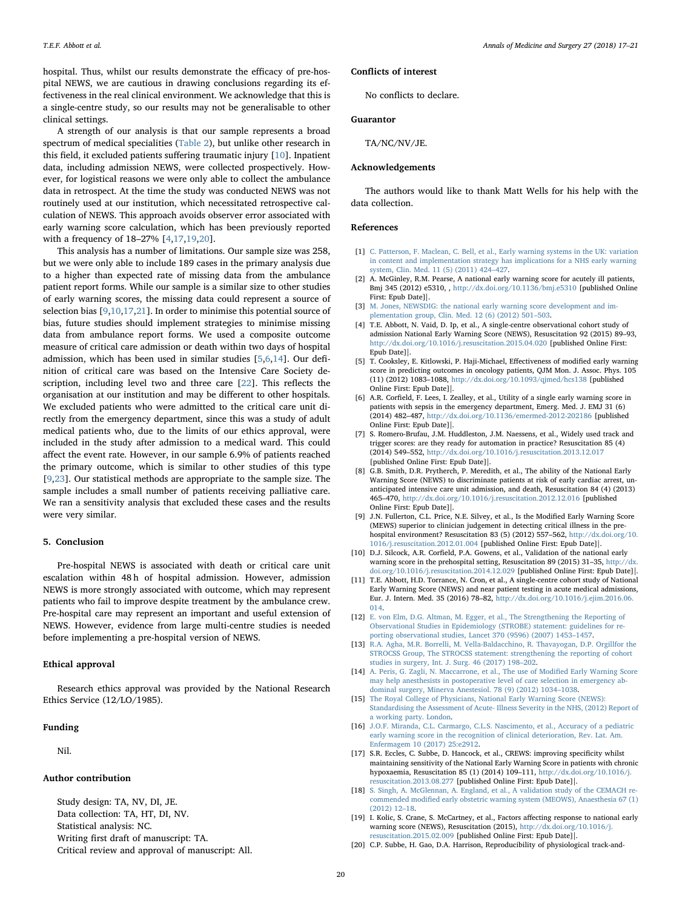hospital. Thus, whilst our results demonstrate the efficacy of pre-hospital NEWS, we are cautious in drawing conclusions regarding its effectiveness in the real clinical environment. We acknowledge that this is a single-centre study, so our results may not be generalisable to other clinical settings.

A strength of our analysis is that our sample represents a broad spectrum of medical specialities [\(Table 2](#page-3-1)), but unlike other research in this field, it excluded patients suffering traumatic injury [[10\]](#page-4-5). Inpatient data, including admission NEWS, were collected prospectively. However, for logistical reasons we were only able to collect the ambulance data in retrospect. At the time the study was conducted NEWS was not routinely used at our institution, which necessitated retrospective calculation of NEWS. This approach avoids observer error associated with early warning score calculation, which has been previously reported with a frequency of 18–27% [[4](#page-4-3),[17,](#page-4-14)[19,](#page-4-15)[20\]](#page-4-16).

This analysis has a number of limitations. Our sample size was 258, but we were only able to include 189 cases in the primary analysis due to a higher than expected rate of missing data from the ambulance patient report forms. While our sample is a similar size to other studies of early warning scores, the missing data could represent a source of selection bias [[9](#page-4-4),[10,](#page-4-5)[17,](#page-4-14)[21](#page-5-0)]. In order to minimise this potential source of bias, future studies should implement strategies to minimise missing data from ambulance report forms. We used a composite outcome measure of critical care admission or death within two days of hospital admission, which has been used in similar studies [\[5,](#page-4-10)[6](#page-4-11),[14](#page-4-9)]. Our definition of critical care was based on the Intensive Care Society description, including level two and three care [[22\]](#page-5-1). This reflects the organisation at our institution and may be different to other hospitals. We excluded patients who were admitted to the critical care unit directly from the emergency department, since this was a study of adult medical patients who, due to the limits of our ethics approval, were included in the study after admission to a medical ward. This could affect the event rate. However, in our sample 6.9% of patients reached the primary outcome, which is similar to other studies of this type [[9](#page-4-4),[23\]](#page-5-2). Our statistical methods are appropriate to the sample size. The sample includes a small number of patients receiving palliative care. We ran a sensitivity analysis that excluded these cases and the results were very similar.

# 5. Conclusion

Pre-hospital NEWS is associated with death or critical care unit escalation within 48 h of hospital admission. However, admission NEWS is more strongly associated with outcome, which may represent patients who fail to improve despite treatment by the ambulance crew. Pre-hospital care may represent an important and useful extension of NEWS. However, evidence from large multi-centre studies is needed before implementing a pre-hospital version of NEWS.

# Ethical approval

Research ethics approval was provided by the National Research Ethics Service (12/LO/1985).

# Funding

Nil.

# Author contribution

Study design: TA, NV, DI, JE.

Data collection: TA, HT, DI, NV.

Statistical analysis: NC.

- Writing first draft of manuscript: TA.
- Critical review and approval of manuscript: All.

# Conflicts of interest

No conflicts to declare.

# Guarantor

TA/NC/NV/JE.

# Acknowledgements

The authors would like to thank Matt Wells for his help with the data collection.

# References

- <span id="page-4-0"></span>[1] [C. Patterson, F. Maclean, C. Bell, et al., Early warning systems in the UK: variation](http://refhub.elsevier.com/S2049-0801(18)30011-6/sref1) [in content and implementation strategy has implications for a NHS early warning](http://refhub.elsevier.com/S2049-0801(18)30011-6/sref1) [system, Clin. Med. 11 \(5\) \(2011\) 424](http://refhub.elsevier.com/S2049-0801(18)30011-6/sref1)–427.
- <span id="page-4-1"></span>[2] A. McGinley, R.M. Pearse, A national early warning score for acutely ill patients, Bmj 345 (2012) e5310, , <http://dx.doi.org/10.1136/bmj.e5310> [published Online [First: Epub Date\]|.](http://dx.doi.org/10.1136/bmj.e5310)
- <span id="page-4-2"></span>[3] [M. Jones, NEWSDIG: the national early warning score development and im](http://refhub.elsevier.com/S2049-0801(18)30011-6/sref3)lementation group, Clin. Med. 12  $(6)$   $(2012)$  501–503.
- <span id="page-4-3"></span>[4] T.E. Abbott, N. Vaid, D. Ip, et al., A single-centre observational cohort study of admission National Early Warning Score (NEWS), Resuscitation 92 (2015) 89–93, <http://dx.doi.org/10.1016/j.resuscitation.2015.04.020> [published Online First: [Epub Date\]|.](http://dx.doi.org/10.1016/j.resuscitation.2015.04.020)
- <span id="page-4-10"></span>[5] T. Cooksley, E. Kitlowski, P. Haji-Michael, Effectiveness of modified early warning score in predicting outcomes in oncology patients, QJM Mon. J. Assoc. Phys. 105 (11) (2012) 1083–1088, <http://dx.doi.org/10.1093/qjmed/hcs138> [published [Online First: Epub Date\]|.](http://dx.doi.org/10.1093/qjmed/hcs138)
- <span id="page-4-11"></span>[6] A.R. Corfield, F. Lees, I. Zealley, et al., Utility of a single early warning score in patients with sepsis in the emergency department, Emerg. Med. J. EMJ 31 (6) (2014) 482–487, <http://dx.doi.org/10.1136/emermed-2012-202186> [published [Online First: Epub Date\]|.](http://dx.doi.org/10.1136/emermed-2012-202186)
- [7] S. Romero-Brufau, J.M. Huddleston, J.M. Naessens, et al., Widely used track and trigger scores: are they ready for automation in practice? Resuscitation 85 (4) (2014) 549–552, <http://dx.doi.org/10.1016/j.resuscitation.2013.12.017> [published Online First: Epub Date]].
- [8] G.B. Smith, D.R. Prytherch, P. Meredith, et al., The ability of the National Early Warning Score (NEWS) to discriminate patients at risk of early cardiac arrest, unanticipated intensive care unit admission, and death, Resuscitation 84 (4) (2013) 465–470, <http://dx.doi.org/10.1016/j.resuscitation.2012.12.016> [published [Online First: Epub Date\]|.](http://dx.doi.org/10.1016/j.resuscitation.2012.12.016)
- <span id="page-4-4"></span>[9] J.N. Fullerton, C.L. Price, N.E. Silvey, et al., Is the Modified Early Warning Score (MEWS) superior to clinician judgement in detecting critical illness in the prehospital environment? Resuscitation 83 (5) (2012) 557–562, [http://dx.doi.org/10.](http://dx.doi.org/10.1016/j.resuscitation.2012.01.004) 1016/j.resuscitation.2012.01.004 [\[published Online First: Epub Date\]|.](http://dx.doi.org/10.1016/j.resuscitation.2012.01.004)
- <span id="page-4-5"></span>[10] D.J. Silcock, A.R. Corfield, P.A. Gowens, et al., Validation of the national early warning score in the prehospital setting, Resuscitation 89 (2015) 31–35, [http://dx.](http://dx.doi.org/10.1016/j.resuscitation.2014.12.029) [doi.org/10.1016/j.resuscitation.2014.12.029](http://dx.doi.org/10.1016/j.resuscitation.2014.12.029) [published Online First: Epub Date]|.
- <span id="page-4-6"></span>[11] T.E. Abbott, H.D. Torrance, N. Cron, et al., A single-centre cohort study of National Early Warning Score (NEWS) and near patient testing in acute medical admissions, Eur. J. Intern. Med. 35 (2016) 78–82, [http://dx.doi.org/10.1016/j.ejim.2016.06.](http://dx.doi.org/10.1016/j.ejim.2016.06.014) [014.](http://dx.doi.org/10.1016/j.ejim.2016.06.014)
- <span id="page-4-7"></span>[12] [E. von Elm, D.G. Altman, M. Egger, et al., The Strengthening the Reporting of](http://refhub.elsevier.com/S2049-0801(18)30011-6/sref12) [Observational Studies in Epidemiology \(STROBE\) statement: guidelines for re](http://refhub.elsevier.com/S2049-0801(18)30011-6/sref12)[porting observational studies, Lancet 370 \(9596\) \(2007\) 1453](http://refhub.elsevier.com/S2049-0801(18)30011-6/sref12)–1457.
- <span id="page-4-8"></span>[13] [R.A. Agha, M.R. Borrelli, M. Vella-Baldacchino, R. Thavayogan, D.P. Orgillfor the](http://refhub.elsevier.com/S2049-0801(18)30011-6/sref13) [STROCSS Group, The STROCSS statement: strengthening the reporting of cohort](http://refhub.elsevier.com/S2049-0801(18)30011-6/sref13) [studies in surgery, Int. J. Surg. 46 \(2017\) 198](http://refhub.elsevier.com/S2049-0801(18)30011-6/sref13)–202.
- <span id="page-4-9"></span>[14] A. [Peris, G. Zagli, N. Maccarrone, et al., The use of Modi](http://refhub.elsevier.com/S2049-0801(18)30011-6/sref14)fied Early Warning Score [may help anesthesists in postoperative level of care selection in emergency ab](http://refhub.elsevier.com/S2049-0801(18)30011-6/sref14)[dominal surgery, Minerva Anestesiol. 78 \(9\) \(2012\) 1034](http://refhub.elsevier.com/S2049-0801(18)30011-6/sref14)–1038.
- <span id="page-4-12"></span>[15] [The Royal College of Physicians, National Early Warning Score \(NEWS\):](http://refhub.elsevier.com/S2049-0801(18)30011-6/sref15) [Standardising the Assessment of Acute- Illness Severity in the NHS, \(2012\) Report of](http://refhub.elsevier.com/S2049-0801(18)30011-6/sref15) [a working party. London.](http://refhub.elsevier.com/S2049-0801(18)30011-6/sref15)
- <span id="page-4-13"></span>[16] [J.O.F. Miranda, C.L. Carmargo, C.L.S. Nascimento, et al., Accuracy of a pediatric](http://refhub.elsevier.com/S2049-0801(18)30011-6/sref16) [early warning score in the recognition of clinical deterioration, Rev. Lat. Am.](http://refhub.elsevier.com/S2049-0801(18)30011-6/sref16) [Enfermagem 10 \(2017\) 25:e2912.](http://refhub.elsevier.com/S2049-0801(18)30011-6/sref16)
- <span id="page-4-14"></span>[17] S.R. Eccles, C. Subbe, D. Hancock, et al., CREWS: improving specificity whilst maintaining sensitivity of the National Early Warning Score in patients with chronic hypoxaemia, Resuscitation 85 (1) (2014) 109–111, [http://dx.doi.org/10.1016/j.](http://dx.doi.org/10.1016/j.resuscitation.2013.08.277) resuscitation.2013.08.277 [\[published Online First: Epub Date\]|.](http://dx.doi.org/10.1016/j.resuscitation.2013.08.277)
- [18] [S. Singh, A. McGlennan, A. England, et al., A validation study of the CEMACH re](http://refhub.elsevier.com/S2049-0801(18)30011-6/sref18)commended modifi[ed early obstetric warning system \(MEOWS\), Anaesthesia 67 \(1\)](http://refhub.elsevier.com/S2049-0801(18)30011-6/sref18) [\(2012\) 12](http://refhub.elsevier.com/S2049-0801(18)30011-6/sref18)–18.
- <span id="page-4-15"></span>[19] I. Kolic, S. Crane, S. McCartney, et al., Factors affecting response to national early warning score (NEWS), Resuscitation (2015), [http://dx.doi.org/10.1016/j.](http://dx.doi.org/10.1016/j.resuscitation.2015.02.009) resuscitation.2015.02.009 [\[published Online First: Epub Date\]|.](http://dx.doi.org/10.1016/j.resuscitation.2015.02.009)
- <span id="page-4-16"></span>[20] C.P. Subbe, H. Gao, D.A. Harrison, Reproducibility of physiological track-and-